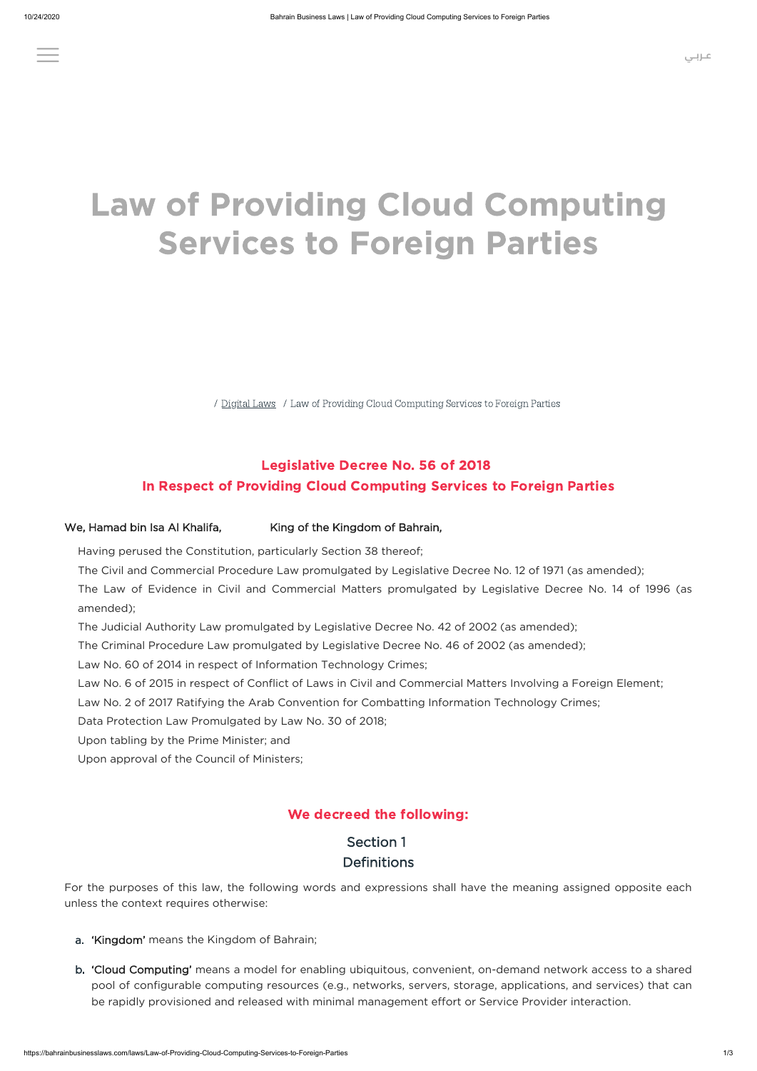/ [Digital Laws](https://bahrainbusinesslaws.com/all-laws/digital-laws) / Law of Providing Cloud Computing Services to Foreign Parties

### Legislative Decree No. 56 of 2018 In Respect of Providing Cloud Computing Services to Foreign Parties

#### We, Hamad bin Isa Al Khalifa, King of the Kingdom of Bahrain,

Having perused the Constitution, particularly Section 38 thereof;

- The Civil and Commercial Procedure Law promulgated by Legislative Decree No. 12 of 1971 (as amended);
- The Law of Evidence in Civil and Commercial Matters promulgated by Legislative Decree No. 14 of 1996 (as amended);
- The Judicial Authority Law promulgated by Legislative Decree No. 42 of 2002 (as amended);
- The Criminal Procedure Law promulgated by Legislative Decree No. 46 of 2002 (as amended);
- Law No. 60 of 2014 in respect of Information Technology Crimes;
- Law No. 6 of 2015 in respect of Conflict of Laws in Civil and Commercial Matters Involving a Foreign Element;
- Law No. 2 of 2017 Ratifying the Arab Convention for Combatting Information Technology Crimes;
- Data Protection Law Promulgated by Law No. 30 of 2018;
- Upon tabling by the Prime Minister; and
- Upon approval of the Council of Ministers;

#### We decreed the following:

# Section 1

#### **Definitions**

For the purposes of this law, the following words and expressions shall have the meaning assigned opposite each unless the context requires otherwise:

- a. 'Kingdom' means the Kingdom of Bahrain;
- b. 'Cloud Computing' means a model for enabling ubiquitous, convenient, on-demand network access to a shared pool of configurable computing resources (e.g., networks, servers, storage, applications, and services) that can be rapidly provisioned and released with minimal management effort or Service Provider interaction.

# Law of Providing Cloud Computing Services to Foreign Parties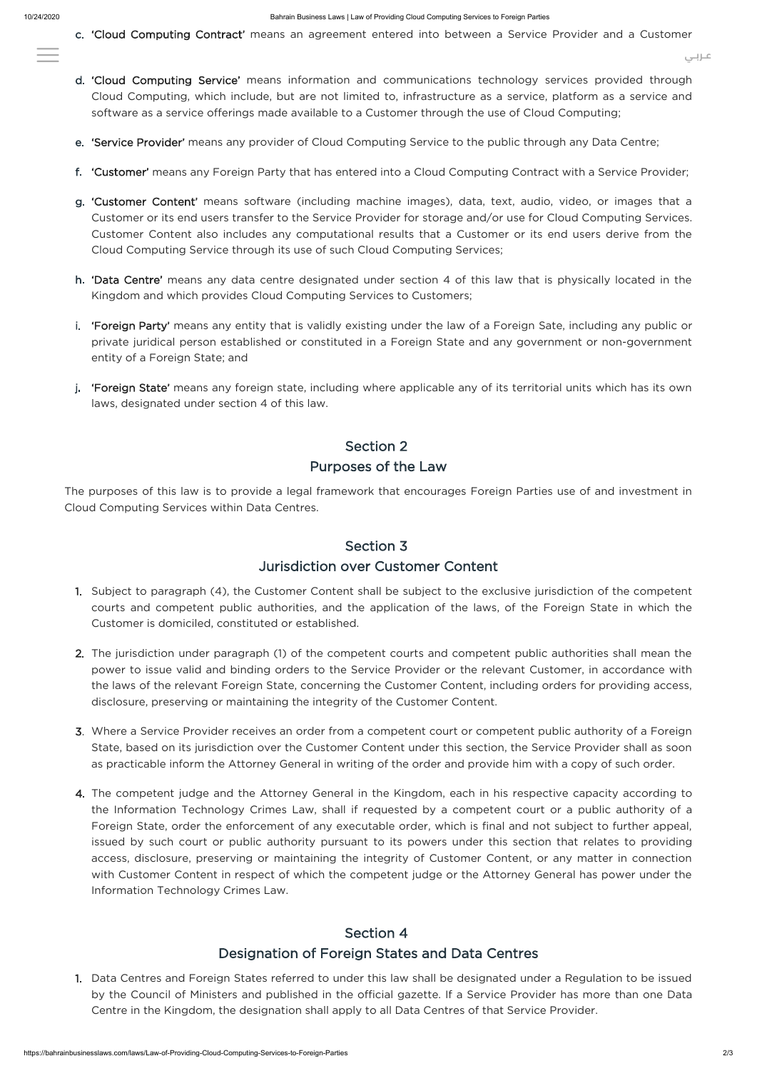c. 'Cloud Computing Contract' means an agreement entered into between a Service Provider and a Customer

- d. 'Cloud Computing Service' means information and communications technology services provided through Cloud Computing, which include, but are not limited to, infrastructure as a service, platform as a service and software as a service offerings made available to a Customer through the use of Cloud Computing;
- e. 'Service Provider' means any provider of Cloud Computing Service to the public through any Data Centre;
- f. 'Customer' means any Foreign Party that has entered into a Cloud Computing Contract with a Service Provider;
- g. 'Customer Content' means software (including machine images), data, text, audio, video, or images that a Customer or its end users transfer to the Service Provider for storage and/or use for Cloud Computing Services. Customer Content also includes any computational results that a Customer or its end users derive from the Cloud Computing Service through its use of such Cloud Computing Services;
- h. 'Data Centre' means any data centre designated under section 4 of this law that is physically located in the Kingdom and which provides Cloud Computing Services to Customers;
- i. **'Foreign Party'** means any entity that is validly existing under the law of a Foreign Sate, including any public or private juridical person established or constituted in a Foreign State and any government or non-government entity of a Foreign State; and
- j. **'Foreign State'** means any foreign state, including where applicable any of its territorial units which has its own laws, designated under section 4 of this law.

# Section 2 Purposes of the Law

The purposes of this law is to provide a legal framework that encourages Foreign Parties use of and investment in Cloud Computing Services within Data Centres.

#### Section 3

#### Jurisdiction over Customer Content

- 1. Subject to paragraph (4), the Customer Content shall be subject to the exclusive jurisdiction of the competent courts and competent public authorities, and the application of the laws, of the Foreign State in which the Customer is domiciled, constituted or established.
- 2. The jurisdiction under paragraph (1) of the competent courts and competent public authorities shall mean the power to issue valid and binding orders to the Service Provider or the relevant Customer, in accordance with the laws of the relevant Foreign State, concerning the Customer Content, including orders for providing access, disclosure, preserving or maintaining the integrity of the Customer Content.
- 3. Where a Service Provider receives an order from a competent court or competent public authority of a Foreign State, based on its jurisdiction over the Customer Content under this section, the Service Provider shall as soon as practicable inform the Attorney General in writing of the order and provide him with a copy of such order.
- 4. The competent judge and the Attorney General in the Kingdom, each in his respective capacity according to

the Information Technology Crimes Law, shall if requested by a competent court or a public authority of a Foreign State, order the enforcement of any executable order, which is final and not subject to further appeal, issued by such court or public authority pursuant to its powers under this section that relates to providing access, disclosure, preserving or maintaining the integrity of Customer Content, or any matter in connection with Customer Content in respect of which the competent judge or the Attorney General has power under the Information Technology Crimes Law.

# Section 4 Designation of Foreign States and Data Centres

1. Data Centres and Foreign States referred to under this law shall be designated under a Regulation to be issued by the Council of Ministers and published in the official gazette. If a Service Provider has more than one Data Centre in the Kingdom, the designation shall apply to all Data Centres of that Service Provider.

**[عـربـي](https://bahrainbusinesslaws.com/arabic-laws/Law-of-Providing-Cloud-Computing-Services-to-Foreign-Parties)**